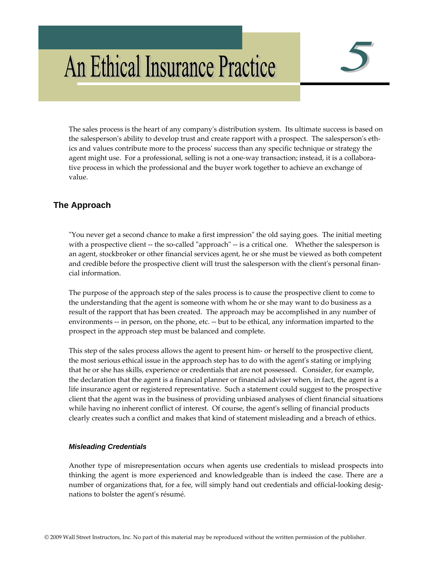# An Ethical Insurance Practice

The sales process is the heart of any companyʹs distribution system. Its ultimate success is based on the salesperson's ability to develop trust and create rapport with a prospect. The salesperson's ethics and values contribute more to the processʹ success than any specific technique or strategy the agent might use. For a professional, selling is not a one-way transaction; instead, it is a collaborative process in which the professional and the buyer work together to achieve an exchange of value.

# **The Approach**

ʺYou never get a second chance to make a first impressionʺ the old saying goes. The initial meeting with a prospective client -- the so-called "approach" -- is a critical one. Whether the salesperson is an agent, stockbroker or other financial services agent, he or she must be viewed as both competent and credible before the prospective client will trust the salesperson with the client's personal financial information.

The purpose of the approach step of the sales process is to cause the prospective client to come to the understanding that the agent is someone with whom he or she may want to do business as a result of the rapport that has been created. The approach may be accomplished in any number of environments -- in person, on the phone, etc. -- but to be ethical, any information imparted to the prospect in the approach step must be balanced and complete.

This step of the sales process allows the agent to present him‐ or herself to the prospective client, the most serious ethical issue in the approach step has to do with the agentʹs stating or implying that he or she has skills, experience or credentials that are not possessed. Consider, for example, the declaration that the agent is a financial planner or financial adviser when, in fact, the agent is a life insurance agent or registered representative. Such a statement could suggest to the prospective client that the agent was in the business of providing unbiased analyses of client financial situations while having no inherent conflict of interest. Of course, the agent's selling of financial products clearly creates such a conflict and makes that kind of statement misleading and a breach of ethics.

## *Misleading Credentials*

Another type of misrepresentation occurs when agents use credentials to mislead prospects into thinking the agent is more experienced and knowledgeable than is indeed the case. There are a number of organizations that, for a fee, will simply hand out credentials and official-looking designations to bolster the agentʹs résumé.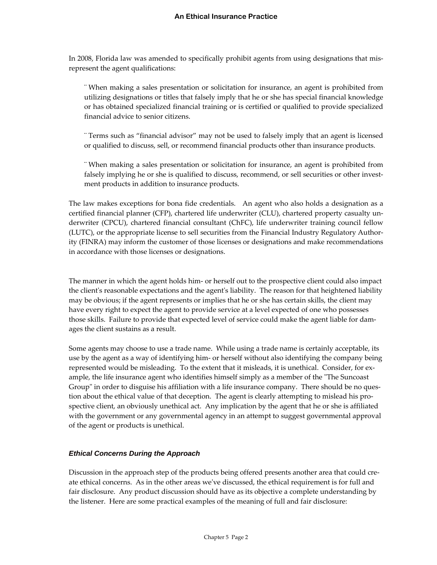In 2008, Florida law was amended to specifically prohibit agents from using designations that mis‐ represent the agent qualifications:

¨ When making a sales presentation or solicitation for insurance, an agent is prohibited from utilizing designations or titles that falsely imply that he or she has special financial knowledge or has obtained specialized financial training or is certified or qualified to provide specialized financial advice to senior citizens.

¨ Terms such as "financial advisor" may not be used to falsely imply that an agent is licensed or qualified to discuss, sell, or recommend financial products other than insurance products.

¨ When making a sales presentation or solicitation for insurance, an agent is prohibited from falsely implying he or she is qualified to discuss, recommend, or sell securities or other investment products in addition to insurance products.

The law makes exceptions for bona fide credentials. An agent who also holds a designation as a certified financial planner (CFP), chartered life underwriter (CLU), chartered property casualty un‐ derwriter (CPCU), chartered financial consultant (ChFC), life underwriter training council fellow (LUTC), or the appropriate license to sell securities from the Financial Industry Regulatory Author‐ ity (FINRA) may inform the customer of those licenses or designations and make recommendations in accordance with those licenses or designations.

The manner in which the agent holds him‐ or herself out to the prospective client could also impact the clientʹs reasonable expectations and the agentʹs liability. The reason for that heightened liability may be obvious; if the agent represents or implies that he or she has certain skills, the client may have every right to expect the agent to provide service at a level expected of one who possesses those skills. Failure to provide that expected level of service could make the agent liable for dam‐ ages the client sustains as a result.

Some agents may choose to use a trade name. While using a trade name is certainly acceptable, its use by the agent as a way of identifying him‐ or herself without also identifying the company being represented would be misleading. To the extent that it misleads, it is unethical. Consider, for ex‐ ample, the life insurance agent who identifies himself simply as a member of the "The Suncoast" Group" in order to disguise his affiliation with a life insurance company. There should be no question about the ethical value of that deception. The agent is clearly attempting to mislead his prospective client, an obviously unethical act. Any implication by the agent that he or she is affiliated with the government or any governmental agency in an attempt to suggest governmental approval of the agent or products is unethical.

#### *Ethical Concerns During the Approach*

Discussion in the approach step of the products being offered presents another area that could create ethical concerns. As in the other areas weʹve discussed, the ethical requirement is for full and fair disclosure. Any product discussion should have as its objective a complete understanding by the listener. Here are some practical examples of the meaning of full and fair disclosure: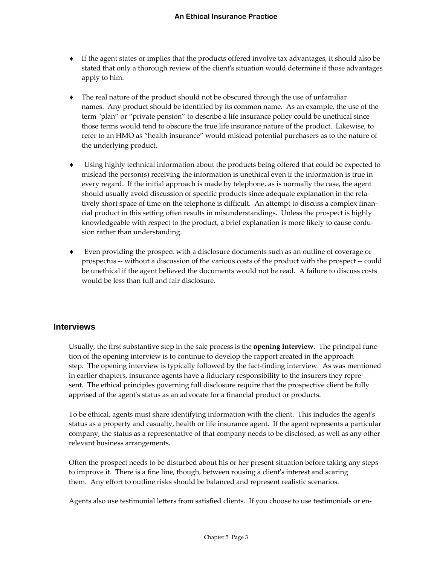- ♦ If the agent states or implies that the products offered involve tax advantages, it should also be stated that only a thorough review of the clientʹs situation would determine if those advantages apply to him.
- ♦ The real nature of the product should not be obscured through the use of unfamiliar names. Any product should be identified by its common name. As an example, the use of the term "plan" or "private pension" to describe a life insurance policy could be unethical since those terms would tend to obscure the true life insurance nature of the product. Likewise, to refer to an HMO as "health insurance" would mislead potential purchasers as to the nature of the underlying product.
- Using highly technical information about the products being offered that could be expected to mislead the person(s) receiving the information is unethical even if the information is true in every regard. If the initial approach is made by telephone, as is normally the case, the agent should usually avoid discussion of specific products since adequate explanation in the rela‐ tively short space of time on the telephone is difficult. An attempt to discuss a complex financial product in this setting often results in misunderstandings. Unless the prospect is highly knowledgeable with respect to the product, a brief explanation is more likely to cause confusion rather than understanding.
- ♦ Even providing the prospect with a disclosure documents such as an outline of coverage or prospectus ‐‐ without a discussion of the various costs of the product with the prospect ‐‐ could be unethical if the agent believed the documents would not be read. A failure to discuss costs would be less than full and fair disclosure.

## **Interviews**

Usually, the first substantive step in the sale process is the **opening interview**. The principal func‐ tion of the opening interview is to continue to develop the rapport created in the approach step. The opening interview is typically followed by the fact-finding interview. As was mentioned in earlier chapters, insurance agents have a fiduciary responsibility to the insurers they represent. The ethical principles governing full disclosure require that the prospective client be fully apprised of the agent's status as an advocate for a financial product or products.

To be ethical, agents must share identifying information with the client. This includes the agentʹs status as a property and casualty, health or life insurance agent. If the agent represents a particular company, the status as a representative of that company needs to be disclosed, as well as any other relevant business arrangements.

Often the prospect needs to be disturbed about his or her present situation before taking any steps to improve it. There is a fine line, though, between rousing a client's interest and scaring them. Any effort to outline risks should be balanced and represent realistic scenarios.

Agents also use testimonial letters from satisfied clients. If you choose to use testimonials or en‐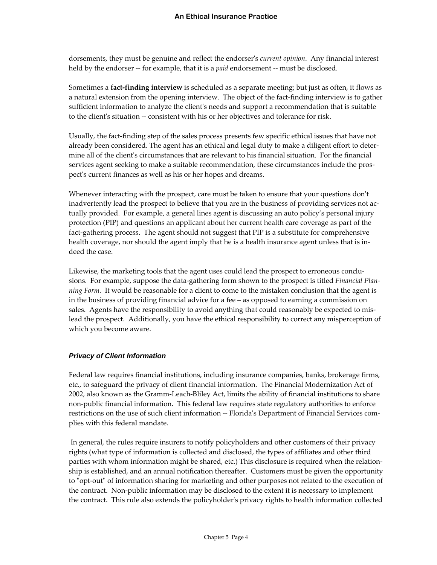dorsements, they must be genuine and reflect the endorserʹs *current opinion*. Any financial interest held by the endorser ‐‐ for example, that it is a *paid* endorsement ‐‐ must be disclosed.

Sometimes a **fact‐finding interview** is scheduled as a separate meeting; but just as often, it flows as a natural extension from the opening interview. The object of the fact-finding interview is to gather sufficient information to analyze the client's needs and support a recommendation that is suitable to the client's situation -- consistent with his or her objectives and tolerance for risk.

Usually, the fact-finding step of the sales process presents few specific ethical issues that have not already been considered. The agent has an ethical and legal duty to make a diligent effort to deter‐ mine all of the clientʹs circumstances that are relevant to his financial situation. For the financial services agent seeking to make a suitable recommendation, these circumstances include the prospectʹs current finances as well as his or her hopes and dreams.

Whenever interacting with the prospect, care must be taken to ensure that your questions don't inadvertently lead the prospect to believe that you are in the business of providing services not ac‐ tually provided. For example, a general lines agent is discussing an auto policy's personal injury protection (PIP) and questions an applicant about her current health care coverage as part of the fact-gathering process. The agent should not suggest that PIP is a substitute for comprehensive health coverage, nor should the agent imply that he is a health insurance agent unless that is indeed the case.

Likewise, the marketing tools that the agent uses could lead the prospect to erroneous conclusions. For example, suppose the data‐gathering form shown to the prospect is titled *Financial Plan‐ ning Form.* It would be reasonable for a client to come to the mistaken conclusion that the agent is in the business of providing financial advice for a fee – as opposed to earning a commission on sales. Agents have the responsibility to avoid anything that could reasonably be expected to mislead the prospect. Additionally, you have the ethical responsibility to correct any misperception of which you become aware.

## *Privacy of Client Information*

Federal law requires financial institutions, including insurance companies, banks, brokerage firms, etc., to safeguard the privacy of client financial information. The Financial Modernization Act of 2002, also known as the Gramm‐Leach‐Bliley Act, limits the ability of financial institutions to share non‐public financial information. This federal law requires state regulatory authorities to enforce restrictions on the use of such client information -- Florida's Department of Financial Services complies with this federal mandate.

In general, the rules require insurers to notify policyholders and other customers of their privacy rights (what type of information is collected and disclosed, the types of affiliates and other third parties with whom information might be shared, etc.) This disclosure is required when the relation‐ ship is established, and an annual notification thereafter. Customers must be given the opportunity to "opt-out" of information sharing for marketing and other purposes not related to the execution of the contract. Non‐public information may be disclosed to the extent it is necessary to implement the contract. This rule also extends the policyholderʹs privacy rights to health information collected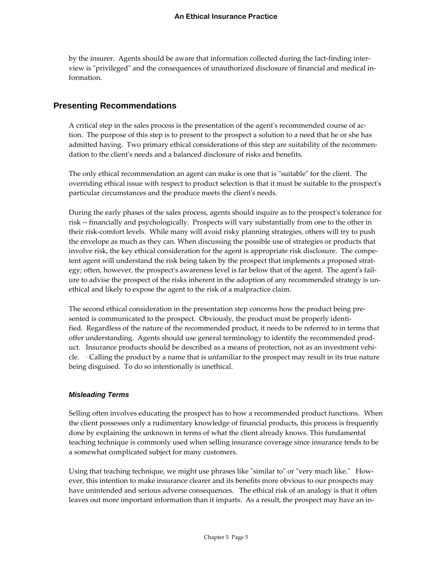by the insurer. Agents should be aware that information collected during the fact-finding interview is "privileged" and the consequences of unauthorized disclosure of financial and medical information.

## **Presenting Recommendations**

A critical step in the sales process is the presentation of the agent's recommended course of action. The purpose of this step is to present to the prospect a solution to a need that he or she has admitted having. Two primary ethical considerations of this step are suitability of the recommen‐ dation to the clientʹs needs and a balanced disclosure of risks and benefits.

The only ethical recommendation an agent can make is one that is "suitable" for the client. The overriding ethical issue with respect to product selection is that it must be suitable to the prospectʹs particular circumstances and the produce meets the client's needs.

During the early phases of the sales process, agents should inquire as to the prospect's tolerance for risk ‐‐ financially and psychologically. Prospects will vary substantially from one to the other in their risk‐comfort levels. While many will avoid risky planning strategies, others will try to push the envelope as much as they can. When discussing the possible use of strategies or products that involve risk, the key ethical consideration for the agent is appropriate risk disclosure. The competent agent will understand the risk being taken by the prospect that implements a proposed strat‐ egy; often, however, the prospect's awareness level is far below that of the agent. The agent's failure to advise the prospect of the risks inherent in the adoption of any recommended strategy is un‐ ethical and likely to expose the agent to the risk of a malpractice claim.

The second ethical consideration in the presentation step concerns how the product being pre‐ sented is communicated to the prospect. Obviously, the product must be properly identified. Regardless of the nature of the recommended product, it needs to be referred to in terms that offer understanding. Agents should use general terminology to identify the recommended prod‐ uct. Insurance products should be described as a means of protection, not as an investment vehicle. Calling the product by a name that is unfamiliar to the prospect may result in its true nature being disguised. To do so intentionally is unethical.

## *Misleading Terms*

Selling often involves educating the prospect has to how a recommended product functions. When the client possesses only a rudimentary knowledge of financial products, this process is frequently done by explaining the unknown in terms of what the client already knows. This fundamental teaching technique is commonly used when selling insurance coverage since insurance tends to be a somewhat complicated subject for many customers.

Using that teaching technique, we might use phrases like "similar to" or "very much like." However, this intention to make insurance clearer and its benefits more obvious to our prospects may have unintended and serious adverse consequences. The ethical risk of an analogy is that it often leaves out more important information than it imparts. As a result, the prospect may have an in‐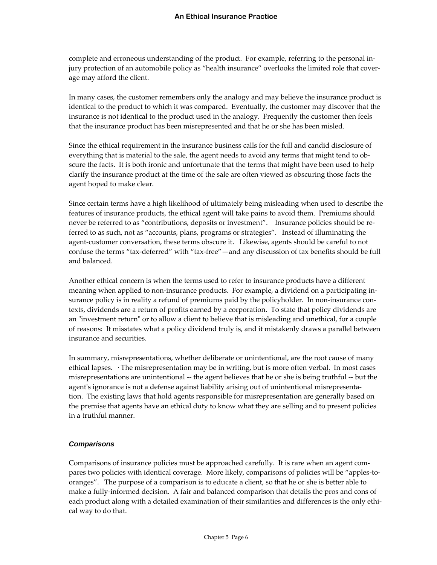complete and erroneous understanding of the product. For example, referring to the personal in‐ jury protection of an automobile policy as "health insurance" overlooks the limited role that cover‐ age may afford the client.

In many cases, the customer remembers only the analogy and may believe the insurance product is identical to the product to which it was compared. Eventually, the customer may discover that the insurance is not identical to the product used in the analogy. Frequently the customer then feels that the insurance product has been misrepresented and that he or she has been misled.

Since the ethical requirement in the insurance business calls for the full and candid disclosure of everything that is material to the sale, the agent needs to avoid any terms that might tend to ob‐ scure the facts. It is both ironic and unfortunate that the terms that might have been used to help clarify the insurance product at the time of the sale are often viewed as obscuring those facts the agent hoped to make clear.

Since certain terms have a high likelihood of ultimately being misleading when used to describe the features of insurance products, the ethical agent will take pains to avoid them. Premiums should never be referred to as "contributions, deposits or investment". Insurance policies should be referred to as such, not as "accounts, plans, programs or strategies". Instead of illuminating the agent-customer conversation, these terms obscure it. Likewise, agents should be careful to not confuse the terms "tax‐deferred" with "tax‐free"—and any discussion of tax benefits should be full and balanced.

Another ethical concern is when the terms used to refer to insurance products have a different meaning when applied to non-insurance products. For example, a dividend on a participating insurance policy is in reality a refund of premiums paid by the policyholder. In non-insurance contexts, dividends are a return of profits earned by a corporation. To state that policy dividends are an "investment return" or to allow a client to believe that is misleading and unethical, for a couple of reasons: It misstates what a policy dividend truly is, and it mistakenly draws a parallel between insurance and securities.

In summary, misrepresentations, whether deliberate or unintentional, are the root cause of many ethical lapses. The misrepresentation may be in writing, but is more often verbal. In most cases misrepresentations are unintentional ‐‐ the agent believes that he or she is being truthful ‐‐ but the agent's ignorance is not a defense against liability arising out of unintentional misrepresentation. The existing laws that hold agents responsible for misrepresentation are generally based on the premise that agents have an ethical duty to know what they are selling and to present policies in a truthful manner.

#### *Comparisons*

Comparisons of insurance policies must be approached carefully. It is rare when an agent com‐ pares two policies with identical coverage. More likely, comparisons of policies will be "apples-tooranges". The purpose of a comparison is to educate a client, so that he or she is better able to make a fully-informed decision. A fair and balanced comparison that details the pros and cons of each product along with a detailed examination of their similarities and differences is the only ethical way to do that.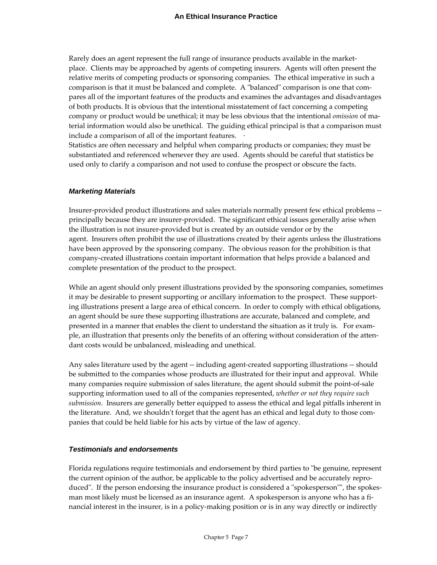Rarely does an agent represent the full range of insurance products available in the market‐ place. Clients may be approached by agents of competing insurers. Agents will often present the relative merits of competing products or sponsoring companies. The ethical imperative in such a comparison is that it must be balanced and complete. A "balanced" comparison is one that compares all of the important features of the products and examines the advantages and disadvantages of both products. It is obvious that the intentional misstatement of fact concerning a competing company or product would be unethical; it may be less obvious that the intentional *omission* of ma‐ terial information would also be unethical. The guiding ethical principal is that a comparison must include a comparison of all of the important features.

Statistics are often necessary and helpful when comparing products or companies; they must be substantiated and referenced whenever they are used. Agents should be careful that statistics be used only to clarify a comparison and not used to confuse the prospect or obscure the facts.

#### *Marketing Materials*

Insurer‐provided product illustrations and sales materials normally present few ethical problems ‐‐ principally because they are insurer‐provided. The significant ethical issues generally arise when the illustration is not insurer‐provided but is created by an outside vendor or by the agent. Insurers often prohibit the use of illustrations created by their agents unless the illustrations have been approved by the sponsoring company. The obvious reason for the prohibition is that company‐created illustrations contain important information that helps provide a balanced and complete presentation of the product to the prospect.

While an agent should only present illustrations provided by the sponsoring companies, sometimes it may be desirable to present supporting or ancillary information to the prospect. These supporting illustrations present a large area of ethical concern. In order to comply with ethical obligations, an agent should be sure these supporting illustrations are accurate, balanced and complete, and presented in a manner that enables the client to understand the situation as it truly is. For example, an illustration that presents only the benefits of an offering without consideration of the atten‐ dant costs would be unbalanced, misleading and unethical.

Any sales literature used by the agent -- including agent-created supporting illustrations -- should be submitted to the companies whose products are illustrated for their input and approval. While many companies require submission of sales literature, the agent should submit the point-of-sale supporting information used to all of the companies represented, *whether or not they require such submission*. Insurers are generally better equipped to assess the ethical and legal pitfalls inherent in the literature. And, we shouldn't forget that the agent has an ethical and legal duty to those companies that could be held liable for his acts by virtue of the law of agency.

## *Testimonials and endorsements*

Florida regulations require testimonials and endorsement by third parties to "be genuine, represent the current opinion of the author, be applicable to the policy advertised and be accurately repro‐ duced". If the person endorsing the insurance product is considered a "spokesperson"", the spokesman most likely must be licensed as an insurance agent. A spokesperson is anyone who has a financial interest in the insurer, is in a policy‐making position or is in any way directly or indirectly